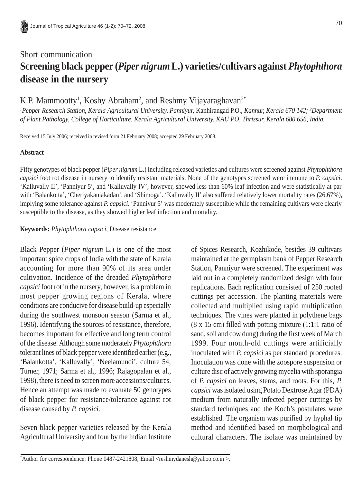# Short communication **Screening black pepper (***Piper nigrum* **L.) varieties/cultivars against** *Phytophthora* **disease in the nursery**

K.P. Mammootty<sup>1</sup>, Koshy Abraham<sup>2</sup>, and Reshmy Vijayaraghavan<sup>2\*</sup>

<sup>1</sup> Pepper Research Station, *Kerala Agricultural University, Panniyur, Kanhirangad P.O., <i>Kannur, Kerala 670 142; <sup>2</sup>Department of Plant Pathology, College of Horticulture, Kerala Agricultural University, KAU PO, Thrissur, Kerala 680 656, India.*

Received 15 July 2006; received in revised form 21 February 2008; accepted 29 February 2008.

#### **Abstract**

Fifty genotypes of black pepper (*Piper nigrum* L.) including released varieties and cultures were screened against *Phytophthora capsici* foot rot disease in nursery to identify resistant materials. None of the genotypes screened were immune to *P. capsici*. 'Kalluvally II', 'Panniyur 5', and 'Kalluvally IV', however, showed less than 60% leaf infection and were statistically at par with 'Balankotta', 'Cheriyakaniakadan', and 'Shimoga'. 'Kalluvally II' also suffered relatively lower mortality rates (26.67%), implying some tolerance against *P. capsici*. 'Panniyur 5' was moderately susceptible while the remaining cultivars were clearly susceptible to the disease, as they showed higher leaf infection and mortality.

**Keywords:** *Phytophthora capsici*, Disease resistance.

Black Pepper (*Piper nigrum* L.) is one of the most important spice crops of India with the state of Kerala accounting for more than 90% of its area under cultivation. Incidence of the dreaded *Phytophthora capsici* foot rot in the nursery, however, is a problem in most pepper growing regions of Kerala, where conditions are conducive for disease build-up especially during the southwest monsoon season (Sarma et al., 1996). Identifying the sources of resistance, therefore, becomes important for effective and long term control of the disease. Although some moderately *Phytophthora* tolerant lines of black pepper were identified earlier (e.g., 'Balankotta', 'Kalluvally', 'Neelamundi', culture 54; Turner, 1971; Sarma et al., 1996; Rajagopalan et al., 1998), there is need to screen more accessions/cultures. Hence an attempt was made to evaluate 50 genotypes of black pepper for resistance/tolerance against rot disease caused by *P. capsici*.

Seven black pepper varieties released by the Kerala Agricultural University and four by the Indian Institute

of Spices Research, Kozhikode, besides 39 cultivars maintained at the germplasm bank of Pepper Research Station, Panniyur were screened. The experiment was laid out in a completely randomized design with four replications. Each replication consisted of 250 rooted cuttings per accession. The planting materials were collected and multiplied using rapid multiplication techniques. The vines were planted in polythene bags (8 x 15 cm) filled with potting mixture (1:1:1 ratio of sand, soil and cow dung) during the first week of March 1999. Four month-old cuttings were artificially inoculated with *P. capsici* as per standard procedures. Inoculation was done with the zoospore suspension or culture disc of actively growing mycelia with sporangia of *P. capsici* on leaves, stems, and roots. For this, *P. capsici* was isolated using Potato Dextrose Agar (PDA) medium from naturally infected pepper cuttings by standard techniques and the Koch's postulates were established. The organism was purified by hyphal tip method and identified based on morphological and cultural characters. The isolate was maintained by

<sup>\*</sup> Author for correspondence: Phone 0487-2421808; Email <reshmydanesh@yahoo.co.in >.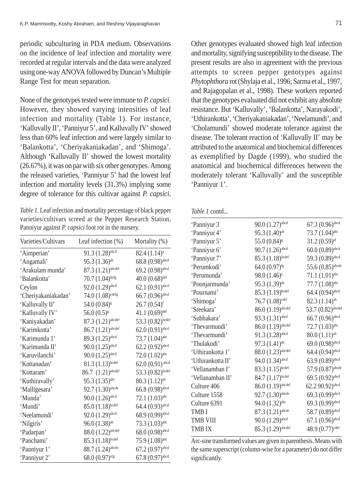periodic subculturing in PDA medium. Observations on the incidence of leaf infection and mortality were recorded at regular intervals and the data were analyzed using one-way ANOVA followed by Duncan's Multiple Range Test for mean separation.

None of the genotypes tested were immune to *P. capsici.* However, they showed varying intensities of leaf infection and mortality (Table 1). For instance, 'Kalluvally II', 'Panniyur 5', and Kalluvally IV' showed less than 60% leaf infection and were largely similar to 'Balankotta', 'Cheriyakaniakadan', and 'Shimoga'. Although 'Kalluvally II' showed the lowest mortality (26.67%), it was on par with six other genotypes. Among the released varieties, 'Panniyur 5' had the lowest leaf infection and mortality levels (31.3%) implying some degree of tolerance for this cultivar against *P. capsici*.

*Table 1.* Leaf infection and mortality percentage of black pepper varieties/cultivars screed at the Pepper Research Station, Panniyur against *P. capsici* foot rot in the nursery.

| Varieties/Cultivars | Leaf infection (%)              | Mortality (%)                |
|---------------------|---------------------------------|------------------------------|
| 'Aimperian'         | $91.3(1.28)$ abcd               | $82.4 (1.14)^a$              |
| 'Angamali'          | 95.3 $(1.36)$ <sup>ab</sup>     | 68.8 (0.98) <sup>abcd</sup>  |
| 'Arakulam munda'    | 87.3 (1.21) <sup>abcdef</sup>   | 69.2 (0.98) <sup>abcd</sup>  |
| 'Balankotta'        | $70.7(1.04)$ defg               | $40.0(0.68)$ <sup>def</sup>  |
| Ceylon              | $92.0(1.29)$ abcd               | $62.1(0.91)$ abcd            |
| 'Cheriyakaniakadan' | $74.0(1.08)$ cdefg              | $66.7(0.96)$ abcd            |
| 'Kalluvally II'     | 54.0 (0.84) <sup>g</sup>        | $26.7(0.54)^f$               |
| 'Kalluvally IV'     | $56.0(0.5)^{s}$                 | 41.1 $(0.69)$ <sup>def</sup> |
| 'Kaniyakadan'       | 87.3 (1.21) <sup>abcdef</sup>   | 53.3 (0.82)bcdef             |
| 'Karimkotta'        | $86.7(1.21)$ <sup>abcdef</sup>  | $62.0(0.91)^{abcd}$          |
| 'Karimunda 1'       | 89.3 (1.25) <sup>abcd</sup>     | 73.7 (1.04) <sup>abc</sup>   |
| 'Karimunda II'      | $90.0$ $(1.25)$ <sup>abcd</sup> | $62.2 (0.92)^{abcd}$         |
| 'Karuvilanchi'      | $90.0$ $(1.25)$ <sup>abcd</sup> | $72.0 (1.02)$ <sup>abc</sup> |
| 'Kottanadan'        | $81.3(1.13)^{bcdef}$            | $62.0(0.91)$ <sup>abcd</sup> |
| 'Kottaram'          | $86.7 (1.21)^{abcdef}$          | 53.3 (0.82)bcdef             |
| 'Kuthiravally'      | $95.3(1.35)$ <sup>abc</sup>     | 80.3(1.12) <sup>ab</sup>     |
| 'Malligesara'       | $92.7(1.30)$ abcde              | $66.8(0.98)$ abcd            |
| 'Munda'             | $90.0 (1.26)$ <sup>abcd</sup>   | $72.1 (1.03)$ <sup>abc</sup> |
| 'Mundi'             | $85.0 (1.18)^{bcdef}$           | 64.4 (0.93) <sup>abcd</sup>  |
| 'Neelamundi'        | $92.0(1.29)$ abcd               | 68.9 (0.99) <sup>abcd</sup>  |
| 'Nilgiris'          | $96.0(1.38)$ <sup>ab</sup>      | $73.3(1.03)$ <sup>abc</sup>  |
| 'Padarpan'          | $88.0 (1.22)^{abcdef}$          | $68.0(0.98)$ abcd            |
| 'Panchami'          | $85.3 (1.18)^{bcdef}$           | $75.9(1.08)$ <sup>abc</sup>  |
| 'Panniyur 1'        | $88.7(1.24)$ <sup>abcde</sup>   | $67.2 (0.97)$ abcd           |
| 'Panniyur 2'        | $68.0(0.97)$ efg                | $67.8(0.97)$ abcd            |

Other genotypes evaluated showed high leaf infection and mortality, signifying susceptibility to the disease. The present results are also in agreement with the previous attempts to screen pepper genotypes against *Phytophthora* rot (Shylaja et al., 1996; Sarma et al., 1997, and Rajagopalan et al., 1998). These workers reported that the genotypes evaluated did not exhibit any absolute resistance. But 'Kalluvally', 'Balankotta', Narayakodi', 'Uthirankotta', 'Cheriyakaniakadan', 'Neelamundi', and 'Cholamundi' showed moderate tolerance against the disease. The tolerant reaction of 'Kalluvally II' may be attributed to the anatomical and biochemical differences as exemplified by Dagde (1999), who studied the anatomical and biochemical differences between the moderately tolerant 'Kalluvally' and the susceptible 'Panniyur 1'.

|  | <i>Table 1</i> contd |
|--|----------------------|
|--|----------------------|

| 'Panniyur 3       | $90.0(1.27)$ <sup>abcd</sup>  | $67.3 (0.96)^{\text{abcd}}$  |
|-------------------|-------------------------------|------------------------------|
| 'Panniyur 4'      | 95.3 (1.40) <sup>ab</sup>     | 73.7 (1.04) <sup>abc</sup>   |
| 'Panniyur 5'      | 55.0 (0.84) <sup>g</sup>      | $31.2(0.59)$ ef              |
| 'Panniyur 6'      | $90.7(1.26)$ abcd             | $60.0(0.89)$ abcd            |
| 'Panniyur 7'      | 85.3 (1.18)bcdef              | 59.3 (0.89) <sup>abcd</sup>  |
| 'Perumkodi'       | 64.0 (0.97)fg                 | 55.6 $(0.85)$ abcde          |
| 'Perumunda'       | 98.0 (1.46) <sup>a</sup>      | $71.1 (1.01)$ <sup>abc</sup> |
| 'Poonjarmunda'    | 95.3 (1.39) <sup>ab</sup>     | $77.7(1.08)$ <sup>abc</sup>  |
| 'Pournami'        | 85.3 (1.19)bcdef              | 64.4 (0.94) <sup>abcd</sup>  |
| 'Shimoga'         | $76.7(1.08)$ cdef             | 82.3 (1.14) <sup>ab</sup>    |
| 'Sreekara'        | $86.0(1.19)$ abcdef           | 53.7 (0.82)abcdef            |
| 'Subhakara'       | 93.3 (1.31)abcd               | 66.7 (0.96)abcd              |
| 'Thevarmundi'     | 86.0 (1.19) abcdef            | $72.7(1.03)$ abc             |
| 'Thevarmundi'     | $91.3(1.28)$ abcd             | $80.0(1.11)$ <sup>ab</sup>   |
| 'Thulakodi'       | 97.3 (1.41) <sup>ab</sup>     | $69.0(0.98)$ abcd            |
| 'Uthirankotta 1'  | 88.0 (1.23) abcdef            | 64.4 (0.94) <sup>abcd</sup>  |
| 'Uthirankotta II' | 94.0 (1.34)abcd               | 63.9 (0.89) abcd             |
| 'Vellanamban I'   | 83.3 (1.15)bcdef              | 57.9 (0.87) abcde            |
| 'Vellanamban II'  | 84.7 (1.17) bcdef             | 69.5 (0.92) <sup>abcd</sup>  |
| Culture 406       | $86.0(1.19)$ abcdef           | 62.2 90.92)abcd              |
| Culture 1558      | 92.7 (1.30) abcde             | 69.3 (0.99) <sup>abcd</sup>  |
| Culture 6391      | 94.0 (1.32)abc                | 69.3 (0.99) <sup>abcd</sup>  |
| <b>TMB I</b>      | 87.3 (1.21) <sup>abcde</sup>  | 58.7 (0.89) <sup>abcd</sup>  |
| <b>TMB VIII</b>   | $90.0(1.29)$ abcd             | $67.1 (0.96)$ abcd           |
| <b>TMB IX</b>     | 85.3 (1.29) <sup>abcdef</sup> | 48.9 (0.77) <sup>cdef</sup>  |
|                   |                               |                              |

Arc-sine transformed values are given in parenthesis. Means with the same superscript (column-wise for a parameter) do not differ significantly.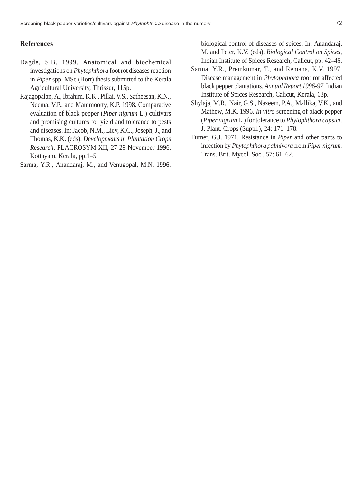#### **References**

- Dagde, S.B. 1999. Anatomical and biochemical investigations on *Phytophthora* foot rot diseases reaction in *Piper* spp. MSc (Hort) thesis submitted to the Kerala Agricultural University, Thrissur, 115p.
- Rajagopalan, A., Ibrahim, K.K., Pillai, V.S., Satheesan, K.N., Neema, V.P., and Mammootty, K.P. 1998. Comparative evaluation of black pepper (*Piper nigrum* L.) cultivars and promising cultures for yield and tolerance to pests and diseases. In: Jacob, N.M., Licy, K.C., Joseph, J., and Thomas, K.K. (eds). *Developments in Plantation Crops Research*, PLACROSYM XII, 27-29 November 1996, Kottayam, Kerala, pp.1–5.

Sarma, Y.R., Anandaraj, M., and Venugopal, M.N. 1996.

biological control of diseases of spices. In: Anandaraj, M. and Peter, K.V. (eds). *Biological Control on Spices*, Indian Institute of Spices Research, Calicut, pp. 42–46.

- Sarma, Y.R., Premkumar, T., and Remana, K.V. 1997. Disease management in *Phytophthora* root rot affected black pepper plantations. *Annual Report 1996-97*. Indian Institute of Spices Research, Calicut, Kerala, 63p.
- Shylaja, M.R., Nair, G.S., Nazeem, P.A., Mallika, V.K., and Mathew, M.K. 1996. *In vitro* screening of black pepper (*Piper nigrum* L.) for tolerance to *Phytophthora capsici*. J. Plant. Crops (Suppl.), 24: 171–178.
- Turner, G.J. 1971. Resistance in *Piper* and other pants to infection by *Phytophthora palmivora* from *Piper nigrum.* Trans. Brit. Mycol. Soc., 57: 61–62.